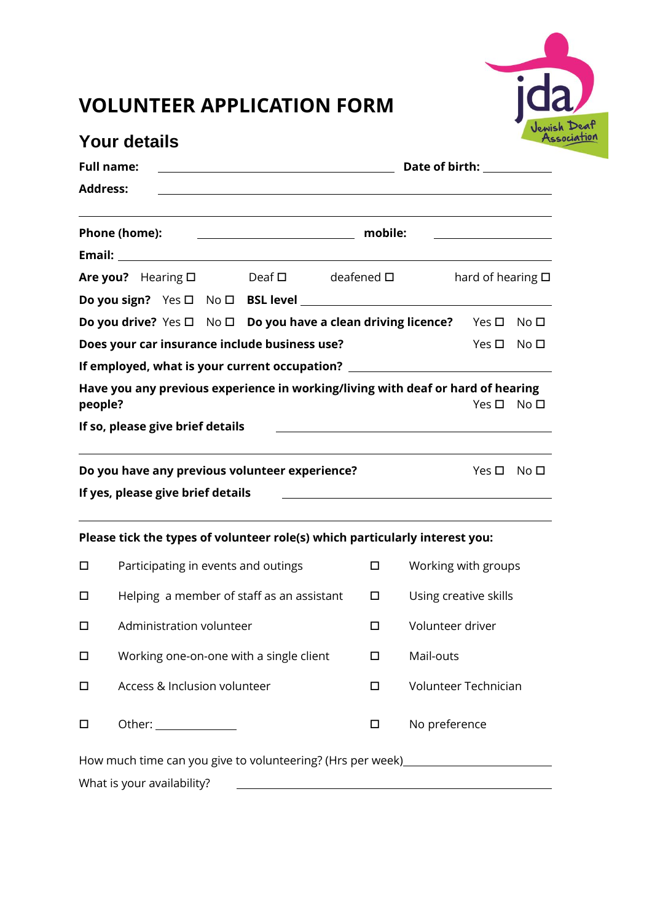

## **VOLUNTEER APPLICATION FORM**

| <b>Your details</b><br><b>Full name:</b>      |                                         |  |  |                                                                                                                       |  | Ass<br>Date of birth: <u>_____________</u> |                                                     |                                                                |                 |
|-----------------------------------------------|-----------------------------------------|--|--|-----------------------------------------------------------------------------------------------------------------------|--|--------------------------------------------|-----------------------------------------------------|----------------------------------------------------------------|-----------------|
|                                               |                                         |  |  |                                                                                                                       |  |                                            |                                                     |                                                                |                 |
|                                               | Phone (home):                           |  |  |                                                                                                                       |  |                                            |                                                     |                                                                |                 |
|                                               |                                         |  |  |                                                                                                                       |  |                                            |                                                     |                                                                |                 |
|                                               |                                         |  |  | Are you? Hearing □ Deaf □ deafened □                                                                                  |  |                                            |                                                     | hard of hearing $\square$                                      |                 |
|                                               |                                         |  |  |                                                                                                                       |  |                                            |                                                     |                                                                |                 |
|                                               |                                         |  |  | Do you drive? Yes □ No □ Do you have a clean driving licence? Yes □ No □                                              |  |                                            |                                                     |                                                                |                 |
| Does your car insurance include business use? |                                         |  |  |                                                                                                                       |  |                                            |                                                     | $Yes \Box No \Box$                                             |                 |
|                                               |                                         |  |  | If employed, what is your current occupation? __________________________________                                      |  |                                            |                                                     |                                                                |                 |
| people?                                       |                                         |  |  | Have you any previous experience in working/living with deaf or hard of hearing                                       |  |                                            |                                                     | Yes $\square$                                                  | No <sub>D</sub> |
|                                               | If so, please give brief details        |  |  |                                                                                                                       |  |                                            | <u> 1980 - Johann Barbara, martxa alemaniar arg</u> |                                                                |                 |
|                                               | If yes, please give brief details       |  |  | Do you have any previous volunteer experience?                                                                        |  |                                            |                                                     | Yes $\square$<br><u> 1980 - Andrea Andrew Maria (h. 1980).</u> | No □            |
|                                               |                                         |  |  | Please tick the types of volunteer role(s) which particularly interest you:                                           |  |                                            |                                                     |                                                                |                 |
| □                                             | Participating in events and outings     |  |  |                                                                                                                       |  | $\Box$                                     | Working with groups                                 |                                                                |                 |
| □                                             |                                         |  |  | Helping a member of staff as an assistant                                                                             |  | $\Box$                                     | Using creative skills                               |                                                                |                 |
| $\Box$                                        | Administration volunteer                |  |  |                                                                                                                       |  | $\Box$                                     | Volunteer driver                                    |                                                                |                 |
| $\Box$                                        | Working one-on-one with a single client |  |  |                                                                                                                       |  | □                                          | Mail-outs                                           |                                                                |                 |
| П                                             | Access & Inclusion volunteer            |  |  |                                                                                                                       |  | $\Box$                                     | Volunteer Technician                                |                                                                |                 |
| □                                             | Other: _______________                  |  |  |                                                                                                                       |  | □                                          | No preference                                       |                                                                |                 |
|                                               |                                         |  |  | How much time can you give to volunteering? (Hrs per week) _____________________                                      |  |                                            |                                                     |                                                                |                 |
|                                               | What is your availability?              |  |  | <u> 1989 - Johann Barn, mars ann an t-Amhain an t-Amhain ann an t-Amhain an t-Amhain an t-Amhain an t-Amhain ann </u> |  |                                            |                                                     |                                                                |                 |